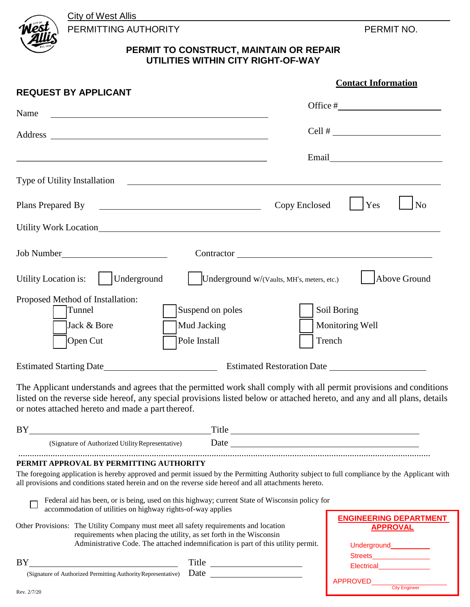**City of West Allis** 



PERMITTING AUTHORITY **PERMIT NO.** 

## **PERMIT TO CONSTRUCT, MAINTAIN OR REPAIR UTILITIES WITHIN CITY RIGHT-OF-WAY**

| <b>REQUEST BY APPLICANT</b>                                                                                                                                                                                                                                                                                                                                                                                                                                       | <b>Contact Information</b>                                                                                                                                                                                                    |
|-------------------------------------------------------------------------------------------------------------------------------------------------------------------------------------------------------------------------------------------------------------------------------------------------------------------------------------------------------------------------------------------------------------------------------------------------------------------|-------------------------------------------------------------------------------------------------------------------------------------------------------------------------------------------------------------------------------|
| Name                                                                                                                                                                                                                                                                                                                                                                                                                                                              |                                                                                                                                                                                                                               |
|                                                                                                                                                                                                                                                                                                                                                                                                                                                                   | Cell # $\qquad \qquad$                                                                                                                                                                                                        |
|                                                                                                                                                                                                                                                                                                                                                                                                                                                                   | Email                                                                                                                                                                                                                         |
| Type of Utility Installation                                                                                                                                                                                                                                                                                                                                                                                                                                      |                                                                                                                                                                                                                               |
|                                                                                                                                                                                                                                                                                                                                                                                                                                                                   | Copy Enclosed<br>Yes<br>N <sub>o</sub>                                                                                                                                                                                        |
|                                                                                                                                                                                                                                                                                                                                                                                                                                                                   |                                                                                                                                                                                                                               |
|                                                                                                                                                                                                                                                                                                                                                                                                                                                                   |                                                                                                                                                                                                                               |
| $ $ Underground<br>Utility Location is:<br>Underground w/(Vaults, MH's, meters, etc.)                                                                                                                                                                                                                                                                                                                                                                             | Above Ground                                                                                                                                                                                                                  |
| Proposed Method of Installation:<br>Tunnel<br>Suspend on poles<br>Jack & Bore<br>Mud Jacking<br>Pole Install<br>Open Cut                                                                                                                                                                                                                                                                                                                                          | Soil Boring<br>Monitoring Well<br>Trench                                                                                                                                                                                      |
|                                                                                                                                                                                                                                                                                                                                                                                                                                                                   |                                                                                                                                                                                                                               |
| The Applicant understands and agrees that the permitted work shall comply with all permit provisions and conditions<br>listed on the reverse side hereof, any special provisions listed below or attached hereto, and any and all plans, details<br>or notes attached hereto and made a part thereof.                                                                                                                                                             |                                                                                                                                                                                                                               |
| BY Service Service Service Service Service Service Service Service Service Service Service Service Service Service Service Service Service Service Service Service Service Service Service Service Service Service Service Ser                                                                                                                                                                                                                                    | Title                                                                                                                                                                                                                         |
| (Signature of Authorized Utility Representative)                                                                                                                                                                                                                                                                                                                                                                                                                  | Date and the set of the set of the set of the set of the set of the set of the set of the set of the set of the set of the set of the set of the set of the set of the set of the set of the set of the set of the set of the |
| PERMIT APPROVAL BY PERMITTING AUTHORITY<br>The foregoing application is hereby approved and permit issued by the Permitting Authority subject to full compliance by the Applicant with<br>all provisions and conditions stated herein and on the reverse side hereof and all attachments hereto.<br>Federal aid has been, or is being, used on this highway; current State of Wisconsin policy for<br>accommodation of utilities on highway rights-of-way applies | <b>ENGINEERING DEPARTMENT</b>                                                                                                                                                                                                 |
| Other Provisions: The Utility Company must meet all safety requirements and location<br>requirements when placing the utility, as set forth in the Wisconsin<br>Administrative Code. The attached indemnification is part of this utility permit.                                                                                                                                                                                                                 | <b>APPROVAL</b><br>Underground____________                                                                                                                                                                                    |
| Title<br>BY THE TEXT OF THE STATE OF THE STATE OF THE STATE OF THE STATE OF THE STATE OF THE STATE OF THE STATE OF THE STATE OF THE STATE OF THE STATE OF THE STATE OF THE STATE OF THE STATE OF THE STATE OF THE STATE OF THE STATE OF                                                                                                                                                                                                                           | Streets_________________                                                                                                                                                                                                      |
| (Signature of Authorized Permitting Authority Representative) Date                                                                                                                                                                                                                                                                                                                                                                                                | <b>APPROVED</b><br><b>City Engineer</b>                                                                                                                                                                                       |
|                                                                                                                                                                                                                                                                                                                                                                                                                                                                   |                                                                                                                                                                                                                               |